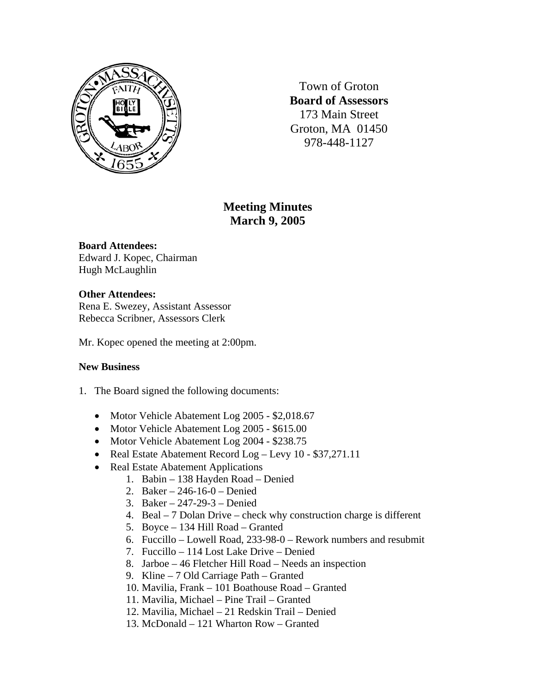

Town of Groton **Board of Assessors**  173 Main Street Groton, MA 01450 978-448-1127

# **Meeting Minutes March 9, 2005**

#### **Board Attendees:**

Edward J. Kopec, Chairman Hugh McLaughlin

## **Other Attendees:**

Rena E. Swezey, Assistant Assessor Rebecca Scribner, Assessors Clerk

Mr. Kopec opened the meeting at 2:00pm.

## **New Business**

- 1. The Board signed the following documents:
	- Motor Vehicle Abatement Log 2005 \$2,018.67
	- Motor Vehicle Abatement Log 2005 \$615.00
	- Motor Vehicle Abatement Log 2004 \$238.75
	- Real Estate Abatement Record Log Levy 10 \$37,271.11
	- Real Estate Abatement Applications
		- 1. Babin 138 Hayden Road Denied
		- 2. Baker 246-16-0 Denied
		- 3. Baker 247-29-3 Denied
		- 4. Beal 7 Dolan Drive check why construction charge is different
		- 5. Boyce 134 Hill Road Granted
		- 6. Fuccillo Lowell Road, 233-98-0 Rework numbers and resubmit
		- 7. Fuccillo 114 Lost Lake Drive Denied
		- 8. Jarboe 46 Fletcher Hill Road Needs an inspection
		- 9. Kline 7 Old Carriage Path Granted
		- 10. Mavilia, Frank 101 Boathouse Road Granted
		- 11. Mavilia, Michael Pine Trail Granted
		- 12. Mavilia, Michael 21 Redskin Trail Denied
		- 13. McDonald 121 Wharton Row Granted